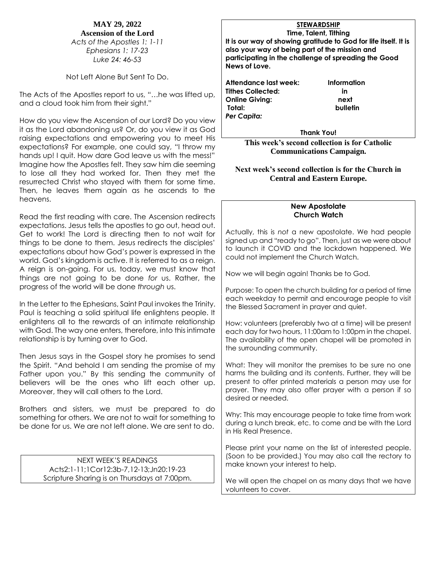### **MAY 29, 2022 Ascension of the Lord** *Acts of the Apostles 1: 1-11 Ephesians 1: 17-23 Luke 24: 46-53*

Not Left Alone But Sent To Do.

The Acts of the Apostles report to us, "…he was lifted up, and a cloud took him from their sight."

How do you view the Ascension of our Lord? Do you view it as the Lord abandoning us? Or, do you view it as God raising expectations and empowering you to meet His expectations? For example, one could say, "I throw my hands up! I quit. How dare God leave us with the mess!" Imagine how the Apostles felt. They saw him die seeming to lose all they had worked for. Then they met the resurrected Christ who stayed with them for some time. Then, he leaves them again as he ascends to the heavens.

Read the first reading with care. The Ascension redirects expectations. Jesus tells the apostles to go out, head out. Get to work! The Lord is directing then to not wait for things to be done to them. Jesus redirects the disciples' expectations about how God's power is expressed in the world. God's kingdom is active. It is referred to as a reign. A reign is on-going. For us, today, we must know that things are not going to be done *for* us. Rather, the progress of the world will be done *through* us.

In the Letter to the Ephesians, Saint Paul invokes the Trinity. Paul is teaching a solid spiritual life enlightens people. It enlightens all to the rewards of an intimate relationship with God. The way one enters, therefore, into this intimate relationship is by turning over to God.

Then Jesus says in the Gospel story he promises to send the Spirit. "And behold I am sending the promise of my Father upon you." By this sending the community of believers will be the ones who lift each other up. Moreover, they will call others to the Lord.

Brothers and sisters, we must be prepared to do something for others. We are not to wait for something to be done for us. We are not left alone. We are sent to do.

> NEXT WEEK'S READINGS Acts2:1-11;1Cor12:3b-7,12-13;Jn20:19-23 Scripture Sharing is on Thursdays at 7:00pm.

# **STEWARDSHIP**

**Time, Talent, Tithing It is our way of showing gratitude to God for life itself. It is also your way of being part of the mission and participating in the challenge of spreading the Good News of Love.**

**Attendance last week: Information Tithes Collected: in Online Giving: next Total: bulletin** *Per Capita:* 

**Thank You!**

**This week's second collection is for Catholic Communications Campaign.**

**Next week's second collection is for the Church in Central and Eastern Europe.**

#### **New Apostolate Church Watch**

Actually, this is *not* a new apostolate. We had people signed up and "ready to go". Then, just as we were about to launch it COVID and the lockdown happened. We could not implement the Church Watch.

Now we will begin again! Thanks be to God.

Purpose: To open the church building for a period of time each weekday to permit and encourage people to visit the Blessed Sacrament in prayer and quiet.

How: volunteers (preferably two at a time) will be present each day for two hours, 11:00am to 1:00pm in the chapel. The availability of the open chapel will be promoted in the surrounding community.

What: They will monitor the premises to be sure no one harms the building and its contents. Further, they will be present to offer printed materials a person may use for prayer. They may also offer prayer with a person if so desired or needed.

Why: This may encourage people to take time from work during a lunch break, etc. to come and be with the Lord in His Real Presence.

Please print your name on the list of interested people. (Soon to be provided.) You may also call the rectory to make known your interest to help.

We will open the chapel on as many days that we have volunteers to cover.